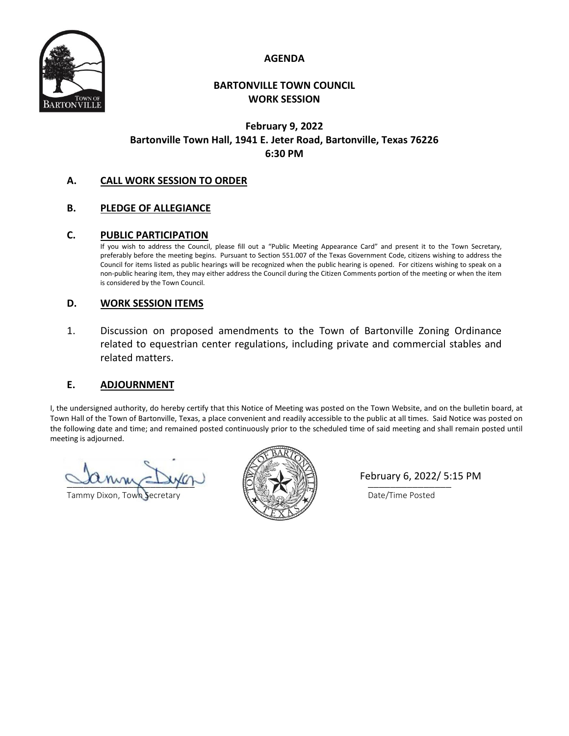



### **BARTONVILLE TOWN COUNCIL WORK SESSION**

# **February 9, 2022 Bartonville Town Hall, 1941 E. Jeter Road, Bartonville, Texas 76226 6:30 PM**

### **A. CALL WORK SESSION TO ORDER**

## **B. PLEDGE OF ALLEGIANCE**

#### **C. PUBLIC PARTICIPATION**

If you wish to address the Council, please fill out a "Public Meeting Appearance Card" and present it to the Town Secretary, preferably before the meeting begins. Pursuant to Section 551.007 of the Texas Government Code, citizens wishing to address the Council for items listed as public hearings will be recognized when the public hearing is opened. For citizens wishing to speak on a non-public hearing item, they may either address the Council during the Citizen Comments portion of the meeting or when the item is considered by the Town Council.

#### **D. WORK SESSION ITEMS**

1. Discussion on proposed amendments to the Town of Bartonville Zoning Ordinance related to equestrian center regulations, including private and commercial stables and related matters.

### **E. ADJOURNMENT**

I, the undersigned authority, do hereby certify that this Notice of Meeting was posted on the Town Website, and on the bulletin board, at Town Hall of the Town of Bartonville, Texas, a place convenient and readily accessible to the public at all times. Said Notice was posted on the following date and time; and remained posted continuously prior to the scheduled time of said meeting and shall remain posted until meeting is adjourned.

 $\Box$ uny $\Box$ yu $\vdash$   $\Box$ 

Tammy Dixon, Town Secretary **Executive Studies of Secretary Date/Time Posted** 



February 6, 2022/ 5:15 PM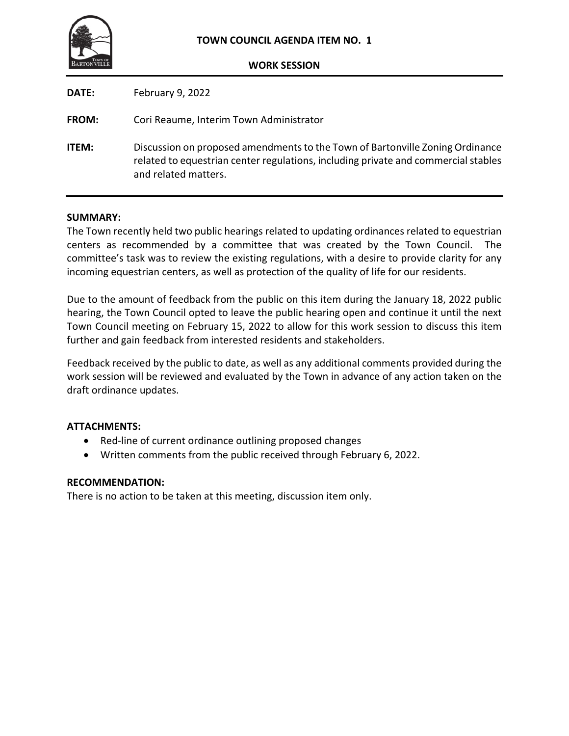

| <b>DATE:</b> | February 9, 2022                                                                                                                                                                            |
|--------------|---------------------------------------------------------------------------------------------------------------------------------------------------------------------------------------------|
| <b>FROM:</b> | Cori Reaume, Interim Town Administrator                                                                                                                                                     |
| <b>ITEM:</b> | Discussion on proposed amendments to the Town of Bartonville Zoning Ordinance<br>related to equestrian center regulations, including private and commercial stables<br>and related matters. |

#### **SUMMARY:**

The Town recently held two public hearings related to updating ordinances related to equestrian centers as recommended by a committee that was created by the Town Council. The committee's task was to review the existing regulations, with a desire to provide clarity for any incoming equestrian centers, as well as protection of the quality of life for our residents.

Due to the amount of feedback from the public on this item during the January 18, 2022 public hearing, the Town Council opted to leave the public hearing open and continue it until the next Town Council meeting on February 15, 2022 to allow for this work session to discuss this item further and gain feedback from interested residents and stakeholders.

Feedback received by the public to date, as well as any additional comments provided during the work session will be reviewed and evaluated by the Town in advance of any action taken on the draft ordinance updates.

### **ATTACHMENTS:**

- Red-line of current ordinance outlining proposed changes
- Written comments from the public received through February 6, 2022.

#### **RECOMMENDATION:**

There is no action to be taken at this meeting, discussion item only.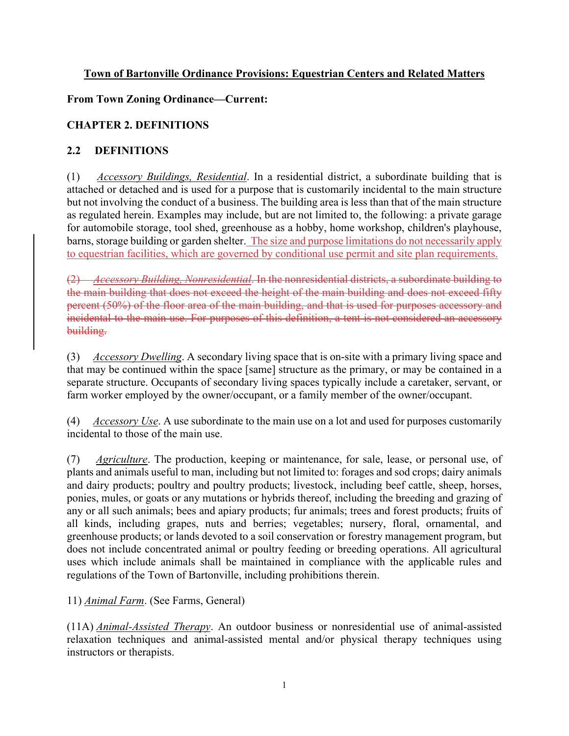# **Town of Bartonville Ordinance Provisions: Equestrian Centers and Related Matters**

# **From Town Zoning Ordinance—Current:**

# **CHAPTER 2. DEFINITIONS**

# **2.2 DEFINITIONS**

(1) *Accessory Buildings, Residential*. In a residential district, a subordinate building that is attached or detached and is used for a purpose that is customarily incidental to the main structure but not involving the conduct of a business. The building area is less than that of the main structure as regulated herein. Examples may include, but are not limited to, the following: a private garage for automobile storage, tool shed, greenhouse as a hobby, home workshop, children's playhouse, barns, storage building or garden shelter. The size and purpose limitations do not necessarily apply to equestrian facilities, which are governed by conditional use permit and site plan requirements.

(2) *Accessory Building, Nonresidential*. In the nonresidential districts, a subordinate building to the main building that does not exceed the height of the main building and does not exceed fifty percent (50%) of the floor area of the main building, and that is used for purposes accessory and incidental to the main use. For purposes of this definition, a tent is not considered an accessory building.

(3) *Accessory Dwelling*. A secondary living space that is on-site with a primary living space and that may be continued within the space [same] structure as the primary, or may be contained in a separate structure. Occupants of secondary living spaces typically include a caretaker, servant, or farm worker employed by the owner/occupant, or a family member of the owner/occupant.

(4) *Accessory Use*. A use subordinate to the main use on a lot and used for purposes customarily incidental to those of the main use.

(7) *Agriculture*. The production, keeping or maintenance, for sale, lease, or personal use, of plants and animals useful to man, including but not limited to: forages and sod crops; dairy animals and dairy products; poultry and poultry products; livestock, including beef cattle, sheep, horses, ponies, mules, or goats or any mutations or hybrids thereof, including the breeding and grazing of any or all such animals; bees and apiary products; fur animals; trees and forest products; fruits of all kinds, including grapes, nuts and berries; vegetables; nursery, floral, ornamental, and greenhouse products; or lands devoted to a soil conservation or forestry management program, but does not include concentrated animal or poultry feeding or breeding operations. All agricultural uses which include animals shall be maintained in compliance with the applicable rules and regulations of the Town of Bartonville, including prohibitions therein.

# 11) *Animal Farm*. (See Farms, General)

(11A) *Animal-Assisted Therapy*. An outdoor business or nonresidential use of animal-assisted relaxation techniques and animal-assisted mental and/or physical therapy techniques using instructors or therapists.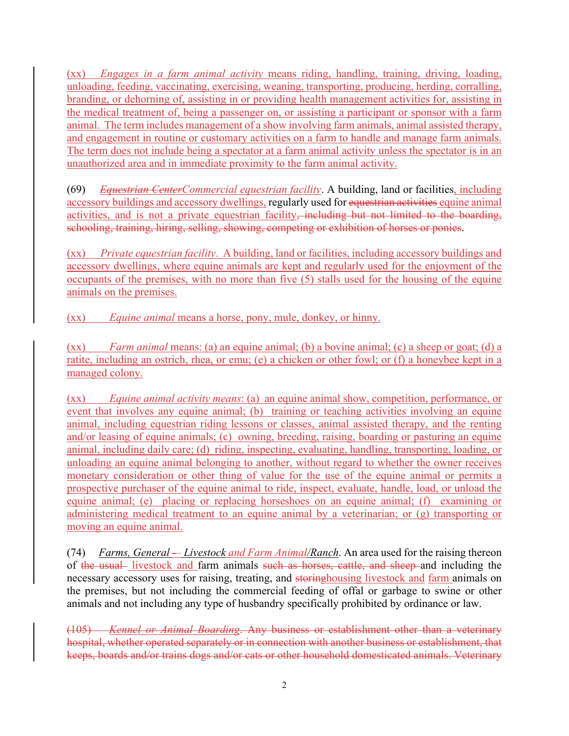(xx) *Engages in a farm animal activity* means riding, handling, training, driving, loading, unloading, feeding, vaccinating, exercising, weaning, transporting, producing, herding, corralling, branding, or dehorning of, assisting in or providing health management activities for, assisting in the medical treatment of, being a passenger on, or assisting a participant or sponsor with a farm animal. The term includes management of a show involving farm animals, animal assisted therapy, and engagement in routine or customary activities on a farm to handle and manage farm animals. The term does not include being a spectator at a farm animal activity unless the spectator is in an unauthorized area and in immediate proximity to the farm animal activity.

(69) *Equestrian CenterCommercial equestrian facility*. A building, land or facilities, including accessory buildings and accessory dwellings, regularly used for equestrian activities equine animal activities, and is not a private equestrian facility, including but not limited to the boarding, schooling, training, hiring, selling, showing, competing or exhibition of horses or ponies.

(xx) *Private equestrian facility*. A building, land or facilities, including accessory buildings and accessory dwellings, where equine animals are kept and regularly used for the enjoyment of the occupants of the premises, with no more than five (5) stalls used for the housing of the equine animals on the premises.

(xx) *Equine animal* means a horse, pony, mule, donkey, or hinny.

(xx) *Farm animal* means: (a) an equine animal; (b) a bovine animal; (c) a sheep or goat; (d) a ratite, including an ostrich, rhea, or emu; (e) a chicken or other fowl; or (f) a honeybee kept in a managed colony.

(xx) *Equine animal activity means*: (a) an equine animal show, competition, performance, or event that involves any equine animal; (b) training or teaching activities involving an equine animal, including equestrian riding lessons or classes, animal assisted therapy, and the renting and/or leasing of equine animals; (c) owning, breeding, raising, boarding or pasturing an equine animal, including daily care; (d) riding, inspecting, evaluating, handling, transporting, loading, or unloading an equine animal belonging to another, without regard to whether the owner receives monetary consideration or other thing of value for the use of the equine animal or permits a prospective purchaser of the equine animal to ride, inspect, evaluate, handle, load, or unload the equine animal; (e) placing or replacing horseshoes on an equine animal; (f) examining or administering medical treatment to an equine animal by a veterinarian; or (g) transporting or moving an equine animal.

(74) *Farms, General – Livestock and Farm Animal/Ranch*. An area used for the raising thereon of the usual-livestock and farm animals such as horses, cattle, and sheep and including the necessary accessory uses for raising, treating, and storinghousing livestock and farm animals on the premises, but not including the commercial feeding of offal or garbage to swine or other animals and not including any type of husbandry specifically prohibited by ordinance or law.

(105) *Kennel or Animal Boarding*. Any business or establishment other than a veterinary hospital, whether operated separately or in connection with another business or establishment, that keeps, boards and/or trains dogs and/or cats or other household domesticated animals. Veterinary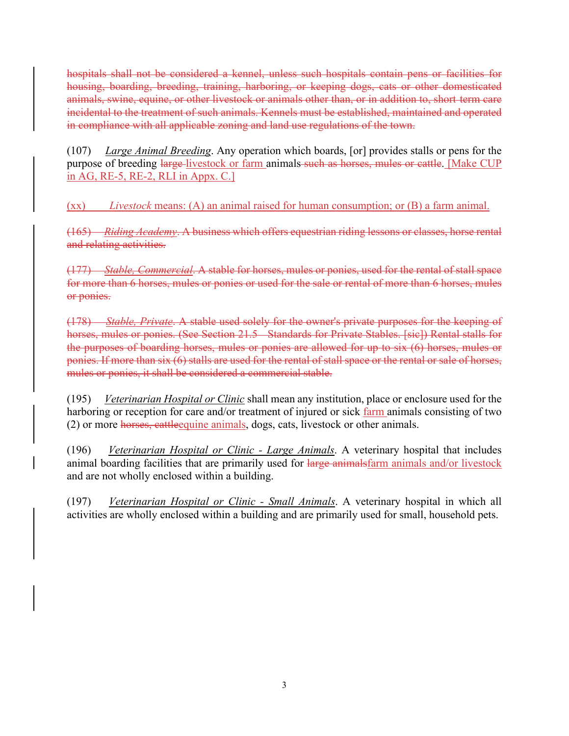hospitals shall not be considered a kennel, unless such hospitals contain pens or facilities for housing, boarding, breeding, training, harboring, or keeping dogs, cats or other domesticated animals, swine, equine, or other livestock or animals other than, or in addition to, short term care incidental to the treatment of such animals. Kennels must be established, maintained and operated in compliance with all applicable zoning and land use regulations of the town.

(107) *Large Animal Breeding*. Any operation which boards, [or] provides stalls or pens for the purpose of breeding large-livestock or farm animals such as horses, mules or cattle. [Make CUP in AG, RE-5, RE-2, RLI in Appx. C.]

(xx) *Livestock* means: (A) an animal raised for human consumption; or (B) a farm animal.

(165) *Riding Academy*. A business which offers equestrian riding lessons or classes, horse rental and relating activities.

(177) *Stable, Commercial*. A stable for horses, mules or ponies, used for the rental of stall space for more than 6 horses, mules or ponies or used for the sale or rental of more than 6 horses, mules or ponies.

(178) *Stable, Private*. A stable used solely for the owner's private purposes for the keeping of horses, mules or ponies. (See Section 21.5 Standards for Private Stables. [sic]) Rental stalls for the purposes of boarding horses, mules or ponies are allowed for up to six (6) horses, mules or ponies. If more than six (6) stalls are used for the rental of stall space or the rental or sale of horses, mules or ponies, it shall be considered a commercial stable.

(195) *Veterinarian Hospital or Clinic* shall mean any institution, place or enclosure used for the harboring or reception for care and/or treatment of injured or sick farm animals consisting of two (2) or more horses, cattleequine animals, dogs, cats, livestock or other animals.

(196) *Veterinarian Hospital or Clinic - Large Animals*. A veterinary hospital that includes animal boarding facilities that are primarily used for large animalsfarm animals and/or livestock and are not wholly enclosed within a building.

(197) *Veterinarian Hospital or Clinic - Small Animals*. A veterinary hospital in which all activities are wholly enclosed within a building and are primarily used for small, household pets.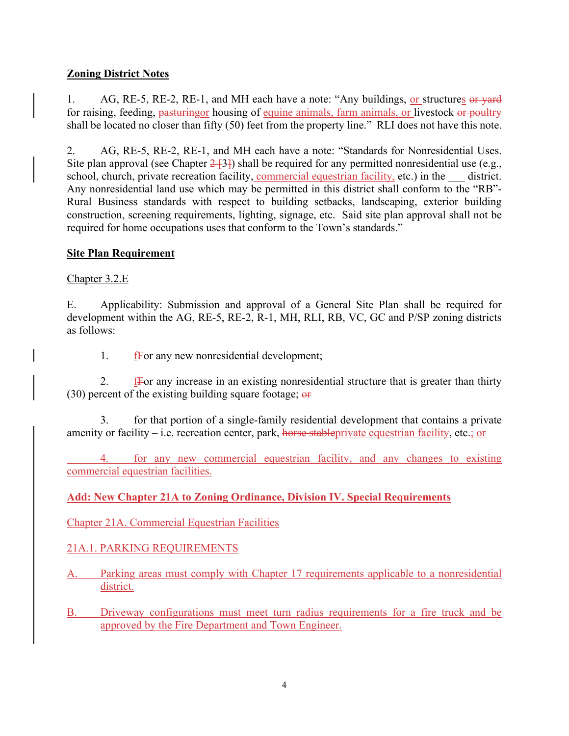# **Zoning District Notes**

1. AG, RE-5, RE-2, RE-1, and MH each have a note: "Any buildings, or structures or vard for raising, feeding, pasturing or housing of equine animals, farm animals, or livestock or poultry shall be located no closer than fifty (50) feet from the property line." RLI does not have this note.

2. AG, RE-5, RE-2, RE-1, and MH each have a note: "Standards for Nonresidential Uses. Site plan approval (see Chapter  $2\frac{1}{3}$ ) shall be required for any permitted nonresidential use (e.g., school, church, private recreation facility, commercial equestrian facility, etc.) in the district. Any nonresidential land use which may be permitted in this district shall conform to the "RB"- Rural Business standards with respect to building setbacks, landscaping, exterior building construction, screening requirements, lighting, signage, etc. Said site plan approval shall not be required for home occupations uses that conform to the Town's standards."

# **Site Plan Requirement**

Chapter 3.2.E

E. Applicability: Submission and approval of a General Site Plan shall be required for development within the AG, RE-5, RE-2, R-1, MH, RLI, RB, VC, GC and P/SP zoning districts as follows:

1. fFor any new nonresidential development;

2.  $\frac{fF}{f}$  external final existing nonresidential structure that is greater than thirty  $(30)$  percent of the existing building square footage;  $\Theta$ 

 3. for that portion of a single-family residential development that contains a private amenity or facility – i.e. recreation center, park, horse stable private equestrian facility, etc.; or

 4. for any new commercial equestrian facility, and any changes to existing commercial equestrian facilities.

# **Add: New Chapter 21A to Zoning Ordinance, Division IV. Special Requirements**

Chapter 21A. Commercial Equestrian Facilities

# 21A.1. PARKING REQUIREMENTS

- A. Parking areas must comply with Chapter 17 requirements applicable to a nonresidential district.
- B. Driveway configurations must meet turn radius requirements for a fire truck and be approved by the Fire Department and Town Engineer.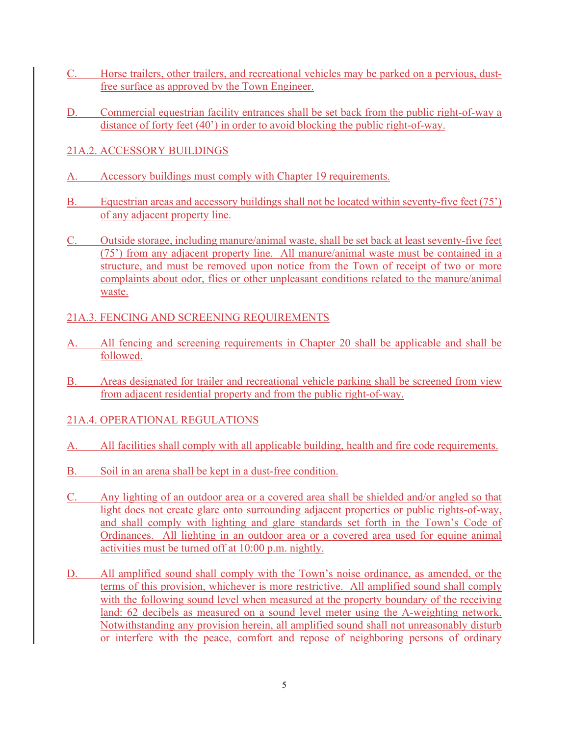- C. Horse trailers, other trailers, and recreational vehicles may be parked on a pervious, dustfree surface as approved by the Town Engineer.
- D. Commercial equestrian facility entrances shall be set back from the public right-of-way a distance of forty feet (40') in order to avoid blocking the public right-of-way.
- 21A.2. ACCESSORY BUILDINGS
- A. Accessory buildings must comply with Chapter 19 requirements.
- B. Equestrian areas and accessory buildings shall not be located within seventy-five feet (75') of any adjacent property line.
- C. Outside storage, including manure/animal waste, shall be set back at least seventy-five feet (75') from any adjacent property line. All manure/animal waste must be contained in a structure, and must be removed upon notice from the Town of receipt of two or more complaints about odor, flies or other unpleasant conditions related to the manure/animal waste.

# 21A.3. FENCING AND SCREENING REQUIREMENTS

- A. All fencing and screening requirements in Chapter 20 shall be applicable and shall be followed.
- B. Areas designated for trailer and recreational vehicle parking shall be screened from view from adjacent residential property and from the public right-of-way.

# 21A.4. OPERATIONAL REGULATIONS

- A. All facilities shall comply with all applicable building, health and fire code requirements.
- B. Soil in an arena shall be kept in a dust-free condition.
- C. Any lighting of an outdoor area or a covered area shall be shielded and/or angled so that light does not create glare onto surrounding adjacent properties or public rights-of-way, and shall comply with lighting and glare standards set forth in the Town's Code of Ordinances. All lighting in an outdoor area or a covered area used for equine animal activities must be turned off at 10:00 p.m. nightly.
- D. All amplified sound shall comply with the Town's noise ordinance, as amended, or the terms of this provision, whichever is more restrictive. All amplified sound shall comply with the following sound level when measured at the property boundary of the receiving land: 62 decibels as measured on a sound level meter using the A-weighting network. Notwithstanding any provision herein, all amplified sound shall not unreasonably disturb or interfere with the peace, comfort and repose of neighboring persons of ordinary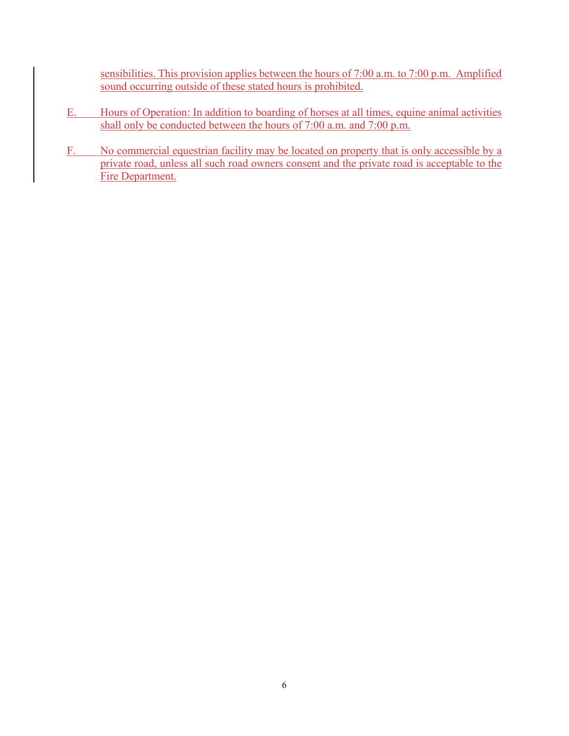sensibilities. This provision applies between the hours of 7:00 a.m. to 7:00 p.m. Amplified sound occurring outside of these stated hours is prohibited.

- E. Hours of Operation: In addition to boarding of horses at all times, equine animal activities shall only be conducted between the hours of 7:00 a.m. and 7:00 p.m.
- F. No commercial equestrian facility may be located on property that is only accessible by a private road, unless all such road owners consent and the private road is acceptable to the Fire Department.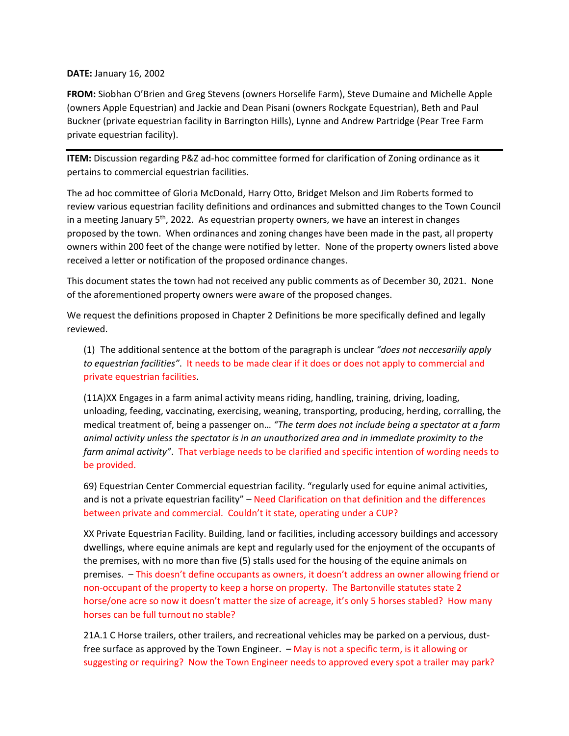#### **DATE:** January 16, 2002

**FROM:** Siobhan O'Brien and Greg Stevens (owners Horselife Farm), Steve Dumaine and Michelle Apple (owners Apple Equestrian) and Jackie and Dean Pisani (owners Rockgate Equestrian), Beth and Paul Buckner (private equestrian facility in Barrington Hills), Lynne and Andrew Partridge (Pear Tree Farm private equestrian facility).

**ITEM:** Discussion regarding P&Z ad-hoc committee formed for clarification of Zoning ordinance as it pertains to commercial equestrian facilities.

The ad hoc committee of Gloria McDonald, Harry Otto, Bridget Melson and Jim Roberts formed to review various equestrian facility definitions and ordinances and submitted changes to the Town Council in a meeting January  $5<sup>th</sup>$ , 2022. As equestrian property owners, we have an interest in changes proposed by the town. When ordinances and zoning changes have been made in the past, all property owners within 200 feet of the change were notified by letter. None of the property owners listed above received a letter or notification of the proposed ordinance changes.

This document states the town had not received any public comments as of December 30, 2021. None of the aforementioned property owners were aware of the proposed changes.

We request the definitions proposed in Chapter 2 Definitions be more specifically defined and legally reviewed.

(1) The additional sentence at the bottom of the paragraph is unclear *"does not neccesariily apply to equestrian facilities"*. It needs to be made clear if it does or does not apply to commercial and private equestrian facilities.

(11A)XX Engages in a farm animal activity means riding, handling, training, driving, loading, unloading, feeding, vaccinating, exercising, weaning, transporting, producing, herding, corralling, the medical treatment of, being a passenger on… *"The term does not include being a spectator at a farm animal activity unless the spectator is in an unauthorized area and in immediate proximity to the farm animal activity"*. That verbiage needs to be clarified and specific intention of wording needs to be provided.

69) Equestrian Center Commercial equestrian facility. "regularly used for equine animal activities, and is not a private equestrian facility" – Need Clarification on that definition and the differences between private and commercial. Couldn't it state, operating under a CUP?

XX Private Equestrian Facility. Building, land or facilities, including accessory buildings and accessory dwellings, where equine animals are kept and regularly used for the enjoyment of the occupants of the premises, with no more than five (5) stalls used for the housing of the equine animals on premises. – This doesn't define occupants as owners, it doesn't address an owner allowing friend or non-occupant of the property to keep a horse on property. The Bartonville statutes state 2 horse/one acre so now it doesn't matter the size of acreage, it's only 5 horses stabled? How many horses can be full turnout no stable?

21A.1 C Horse trailers, other trailers, and recreational vehicles may be parked on a pervious, dustfree surface as approved by the Town Engineer. - May is not a specific term, is it allowing or suggesting or requiring? Now the Town Engineer needs to approved every spot a trailer may park?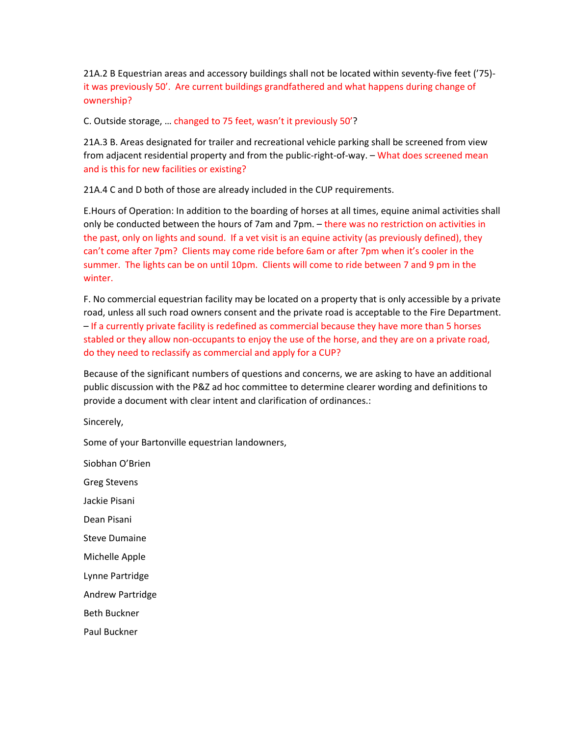21A.2 B Equestrian areas and accessory buildings shall not be located within seventy-five feet ('75) it was previously 50'. Are current buildings grandfathered and what happens during change of ownership?

C. Outside storage, … changed to 75 feet, wasn't it previously 50'?

21A.3 B. Areas designated for trailer and recreational vehicle parking shall be screened from view from adjacent residential property and from the public-right-of-way. - What does screened mean and is this for new facilities or existing?

21A.4 C and D both of those are already included in the CUP requirements.

E.Hours of Operation: In addition to the boarding of horses at all times, equine animal activities shall only be conducted between the hours of 7am and 7pm. – there was no restriction on activities in the past, only on lights and sound. If a vet visit is an equine activity (as previously defined), they can't come after 7pm? Clients may come ride before 6am or after 7pm when it's cooler in the summer. The lights can be on until 10pm. Clients will come to ride between 7 and 9 pm in the winter.

F. No commercial equestrian facility may be located on a property that is only accessible by a private road, unless all such road owners consent and the private road is acceptable to the Fire Department. – If a currently private facility is redefined as commercial because they have more than 5 horses stabled or they allow non-occupants to enjoy the use of the horse, and they are on a private road, do they need to reclassify as commercial and apply for a CUP?

Because of the significant numbers of questions and concerns, we are asking to have an additional public discussion with the P&Z ad hoc committee to determine clearer wording and definitions to provide a document with clear intent and clarification of ordinances.:

Sincerely,

Some of your Bartonville equestrian landowners,

Siobhan O'Brien

Greg Stevens

Jackie Pisani

Dean Pisani

Steve Dumaine

Michelle Apple

Lynne Partridge

Andrew Partridge

Beth Buckner

Paul Buckner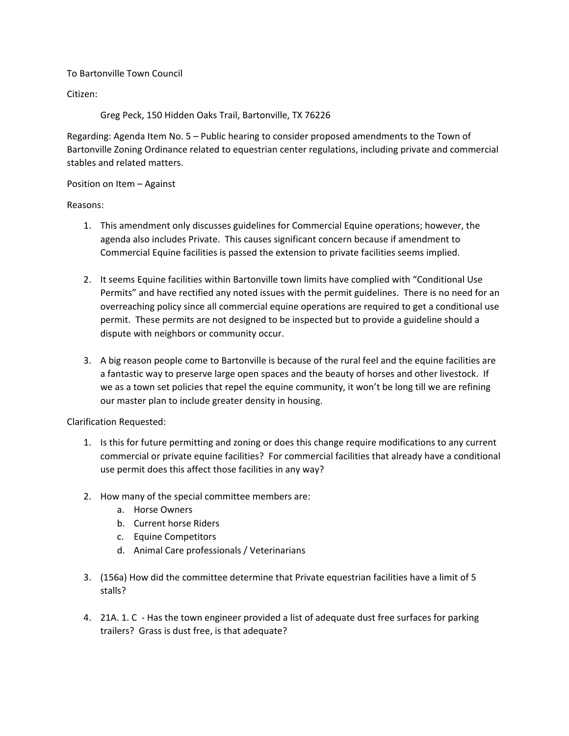#### To Bartonville Town Council

Citizen:

Greg Peck, 150 Hidden Oaks Trail, Bartonville, TX 76226

Regarding: Agenda Item No. 5 – Public hearing to consider proposed amendments to the Town of Bartonville Zoning Ordinance related to equestrian center regulations, including private and commercial stables and related matters.

#### Position on Item – Against

Reasons:

- 1. This amendment only discusses guidelines for Commercial Equine operations; however, the agenda also includes Private. This causes significant concern because if amendment to Commercial Equine facilities is passed the extension to private facilities seems implied.
- 2. It seems Equine facilities within Bartonville town limits have complied with "Conditional Use Permits" and have rectified any noted issues with the permit guidelines. There is no need for an overreaching policy since all commercial equine operations are required to get a conditional use permit. These permits are not designed to be inspected but to provide a guideline should a dispute with neighbors or community occur.
- 3. A big reason people come to Bartonville is because of the rural feel and the equine facilities are a fantastic way to preserve large open spaces and the beauty of horses and other livestock. If we as a town set policies that repel the equine community, it won't be long till we are refining our master plan to include greater density in housing.

Clarification Requested:

- 1. Is this for future permitting and zoning or does this change require modifications to any current commercial or private equine facilities? For commercial facilities that already have a conditional use permit does this affect those facilities in any way?
- 2. How many of the special committee members are:
	- a. Horse Owners
	- b. Current horse Riders
	- c. Equine Competitors
	- d. Animal Care professionals / Veterinarians
- 3. (156a) How did the committee determine that Private equestrian facilities have a limit of 5 stalls?
- 4. 21A. 1. C Has the town engineer provided a list of adequate dust free surfaces for parking trailers? Grass is dust free, is that adequate?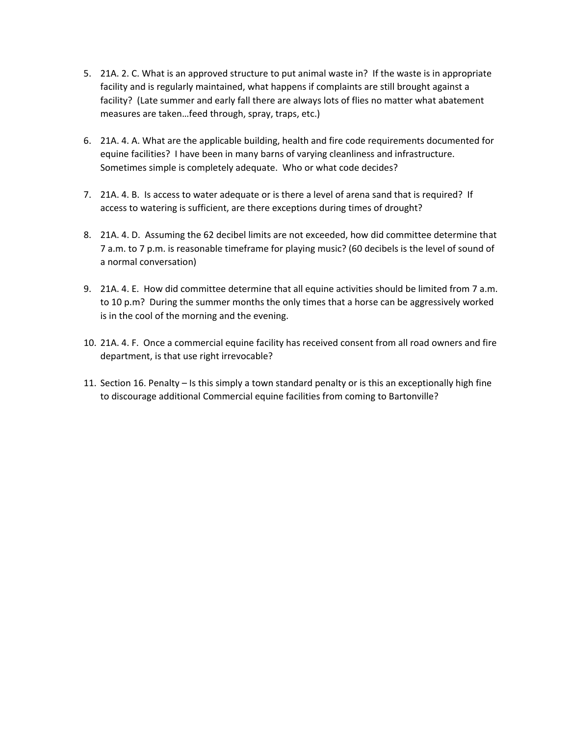- 5. 21A. 2. C. What is an approved structure to put animal waste in? If the waste is in appropriate facility and is regularly maintained, what happens if complaints are still brought against a facility? (Late summer and early fall there are always lots of flies no matter what abatement measures are taken…feed through, spray, traps, etc.)
- 6. 21A. 4. A. What are the applicable building, health and fire code requirements documented for equine facilities? I have been in many barns of varying cleanliness and infrastructure. Sometimes simple is completely adequate. Who or what code decides?
- 7. 21A. 4. B. Is access to water adequate or is there a level of arena sand that is required? If access to watering is sufficient, are there exceptions during times of drought?
- 8. 21A. 4. D. Assuming the 62 decibel limits are not exceeded, how did committee determine that 7 a.m. to 7 p.m. is reasonable timeframe for playing music? (60 decibels is the level of sound of a normal conversation)
- 9. 21A. 4. E. How did committee determine that all equine activities should be limited from 7 a.m. to 10 p.m? During the summer months the only times that a horse can be aggressively worked is in the cool of the morning and the evening.
- 10. 21A. 4. F. Once a commercial equine facility has received consent from all road owners and fire department, is that use right irrevocable?
- 11. Section 16. Penalty Is this simply a town standard penalty or is this an exceptionally high fine to discourage additional Commercial equine facilities from coming to Bartonville?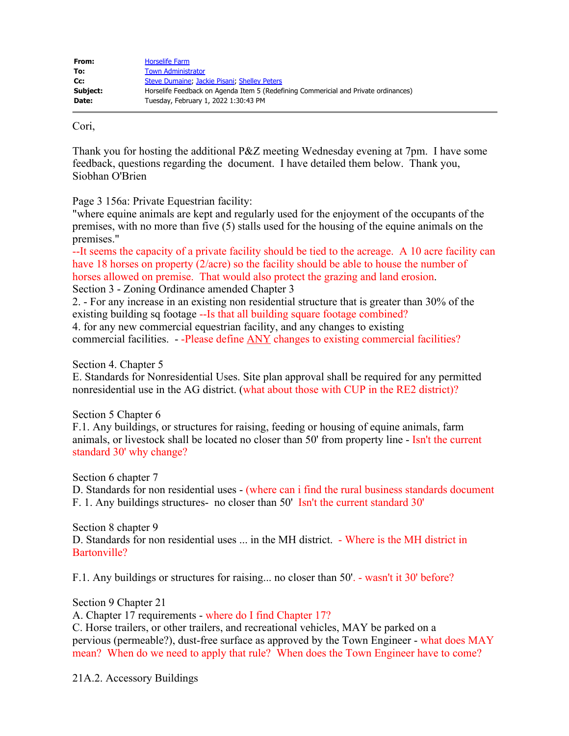| From:    | <b>Horselife Farm</b>                                                               |
|----------|-------------------------------------------------------------------------------------|
| To:      | <b>Town Administrator</b>                                                           |
| Cc:      | Steve Dumaine, Jackie Pisani, Shelley Peters                                        |
| Subject: | Horselife Feedback on Agenda Item 5 (Redefining Commericial and Private ordinances) |
| Date:    | Tuesday, February 1, 2022 1:30:43 PM                                                |

Cori,

Thank you for hosting the additional P&Z meeting Wednesday evening at 7pm. I have some feedback, questions regarding the document. I have detailed them below. Thank you, Siobhan O'Brien

Page 3 156a: Private Equestrian facility:

"where equine animals are kept and regularly used for the enjoyment of the occupants of the premises, with no more than five (5) stalls used for the housing of the equine animals on the premises."

--It seems the capacity of a private facility should be tied to the acreage. A 10 acre facility can have 18 horses on property (2/acre) so the facility should be able to house the number of horses allowed on premise. That would also protect the grazing and land erosion. Section 3 - Zoning Ordinance amended Chapter 3

2. - For any increase in an existing non residential structure that is greater than 30% of the existing building sq footage --Is that all building square footage combined?

4. for any new commercial equestrian facility, and any changes to existing commercial facilities. - -Please define ANY changes to existing commercial facilities?

Section 4. Chapter 5

E. Standards for Nonresidential Uses. Site plan approval shall be required for any permitted nonresidential use in the AG district. (what about those with CUP in the RE2 district)?

Section 5 Chapter 6

F.1. Any buildings, or structures for raising, feeding or housing of equine animals, farm animals, or livestock shall be located no closer than 50' from property line - Isn't the current standard 30' why change?

Section 6 chapter 7

D. Standards for non residential uses - (where can i find the rural business standards document F. 1. Any buildings structures- no closer than 50' Isn't the current standard 30'

Section 8 chapter 9 D. Standards for non residential uses ... in the MH district. - Where is the MH district in Bartonville?

F.1. Any buildings or structures for raising... no closer than 50'. - wasn't it 30' before?

Section 9 Chapter 21

A. Chapter 17 requirements - where do I find Chapter 17?

C. Horse trailers, or other trailers, and recreational vehicles, MAY be parked on a pervious (permeable?), dust-free surface as approved by the Town Engineer - what does MAY mean? When do we need to apply that rule? When does the Town Engineer have to come?

21A.2. Accessory Buildings